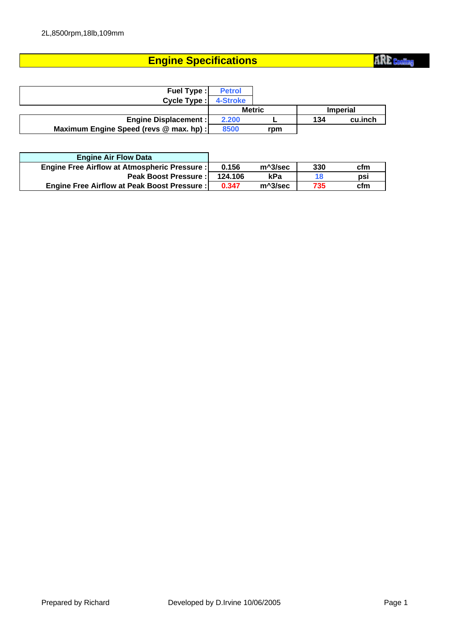### **Engine Specifications**

| <b>Fuel Type:</b>                       | <b>Petrol</b> |               |     |                 |
|-----------------------------------------|---------------|---------------|-----|-----------------|
| Cycle Type:                             | 4-Stroke      |               |     |                 |
|                                         |               | <b>Metric</b> |     | <b>Imperial</b> |
| <b>Engine Displacement:</b>             | 2.200         |               | 134 | cu.inch         |
| Maximum Engine Speed (revs @ max. hp) : | 8500          | rpm           |     |                 |

| <b>Engine Air Flow Data</b>                         |         |           |     |     |
|-----------------------------------------------------|---------|-----------|-----|-----|
| <b>Engine Free Airflow at Atmospheric Pressure:</b> | 0.156   | m^3/sec   | 330 | cfm |
| <b>Peak Boost Pressure:</b>                         | 124.106 | kPa       | 18  | psi |
| <b>Engine Free Airflow at Peak Boost Pressure:</b>  | 0.347   | $m^3/sec$ | 735 | cfm |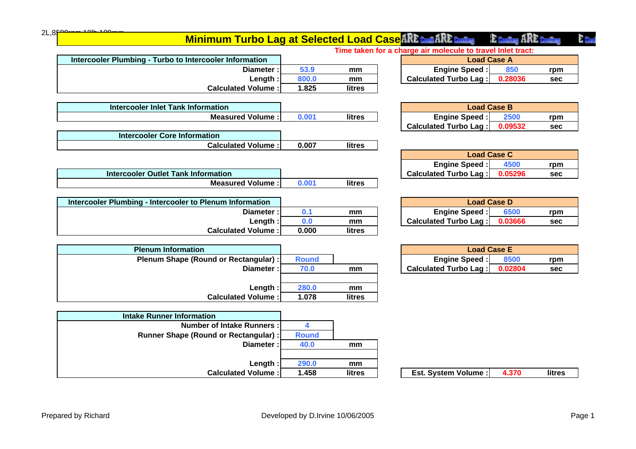|                                                       | $\sim$       |               | $\sim$<br>.                                           |
|-------------------------------------------------------|--------------|---------------|-------------------------------------------------------|
| Length:                                               | 800.0        | mm            | <b>Calculated Turbo Lag:</b><br>0.28036<br><b>sec</b> |
| <b>Calculated Volume:</b>                             | 1.825        | litres        |                                                       |
|                                                       |              |               |                                                       |
| <b>Intercooler Inlet Tank Information</b>             |              |               | <b>Load Case B</b>                                    |
| <b>Measured Volume:</b>                               | 0.001        | <b>litres</b> | <b>Engine Speed:</b><br>2500<br>rpm                   |
|                                                       |              |               | <b>Calculated Turbo Lag:</b><br>0.09532<br><b>sec</b> |
| <b>Intercooler Core Information</b>                   |              |               |                                                       |
| <b>Calculated Volume:</b>                             | 0.007        | litres        |                                                       |
|                                                       |              |               | <b>Load Case C</b>                                    |
|                                                       |              |               | <b>Engine Speed:</b><br>4500<br>rpm                   |
| <b>Intercooler Outlet Tank Information</b>            |              |               | <b>Calculated Turbo Lag:</b><br>0.05296<br><b>sec</b> |
| <b>Measured Volume:</b>                               | 0.001        | litres        |                                                       |
|                                                       |              |               |                                                       |
| ercooler Plumbing - Intercooler to Plenum Information |              |               | <b>Load Case D</b>                                    |
| Diameter:                                             | 0.1          | mm            | <b>Engine Speed:</b><br>6500<br>rpm                   |
| Length:                                               | 0.0          | mm            | <b>Calculated Turbo Lag:</b><br>0.03666<br><b>sec</b> |
| <b>Calculated Volume:</b>                             | 0.000        | litres        |                                                       |
|                                                       |              |               |                                                       |
| <b>Plenum Information</b>                             |              |               | <b>Load Case E</b>                                    |
| Plenum Shape (Round or Rectangular) :                 | <b>Round</b> |               | <b>Engine Speed:</b><br>8500<br>rpm                   |
| Diameter:                                             | 70.0         | mm            | <b>Calculated Turbo Lag:</b><br>0.02804<br><b>sec</b> |
|                                                       |              |               |                                                       |
| Length:                                               | 280.0        | mm            |                                                       |
| <b>Calculated Volume:</b>                             | 1.078        | litres        |                                                       |
|                                                       |              |               |                                                       |
| <b>Intake Runner Information</b>                      |              |               |                                                       |
| <b>Number of Intake Runners:</b>                      | 4            |               |                                                       |
| <b>Runner Shape (Round or Rectangular):</b>           | <b>Round</b> |               |                                                       |
| Diameter:                                             | 40.0         | mm            |                                                       |
|                                                       |              |               |                                                       |
| Length:                                               | 290.0        | mm            |                                                       |
| <b>Calculated Volume:</b>                             | 1.458        | litres        | <b>Est. System Volume:</b><br>4.370<br><b>litres</b>  |

|                                                         |       | Time taken |
|---------------------------------------------------------|-------|------------|
| Intercooler Plumbing - Turbo to Intercooler Information |       |            |
| Diameter:                                               | 53.9  | mm         |
| Lenath :I                                               | 800.0 | mm         |
| <b>Calculated Volume:</b>                               | 1.825 | litres     |
|                                                         |       |            |

| Intercooler Inlet Tank Information |       |        |
|------------------------------------|-------|--------|
| Measured Volume : I                | 0.001 | litres |
|                                    |       |        |

| Intercooler Core Information |       |        |
|------------------------------|-------|--------|
| <b>Calculated Volume:</b>    | 0.007 | litres |
|                              |       |        |

| Intercooler Outlet Tank Information |        |
|-------------------------------------|--------|
| <b>Measured Volume:</b>             | litres |

| Intercooler Plumbing - Intercooler to Plenum Information |       |        |
|----------------------------------------------------------|-------|--------|
| Diameter:                                                | 0.1   | mm     |
| Length :                                                 | 0.0   | mm     |
| <b>Calculated Volume:</b>                                | 0.000 | litres |

|      |              | Pienum information                    |
|------|--------------|---------------------------------------|
|      | <b>Round</b> | Plenum Shape (Round or Rectangular) : |
| m    | 70.0         | Diameter:                             |
|      |              |                                       |
| m    | 280.0        | Length:                               |
| litr | 1.078        | <b>Calculated Volume:</b>             |
|      |              |                                       |

 $\mathcal{L}_{\rm{max}}$  .

 $2L,8$ F

#### **Minimum Turbo Lag at Selected Load Case ARE Cooling** E Cooling ARE Cooling

**Time taken for a charge air molecule to travel Inlet tract:**

| mation       |         |       | <b>Load Case A</b>                       |
|--------------|---------|-------|------------------------------------------|
| Diameter : I | 53.9    | mm    | <b>Engine Speed:</b><br>850<br>rpm       |
| Lenath:      | 800.0   | mm    | Calculated Turbo Lag :<br>0.28036<br>sec |
| - - - -      | - - - - | $- -$ |                                          |

| <b>Load Case B</b>    |         |     |  |  |  |
|-----------------------|---------|-----|--|--|--|
| <b>Engine Speed:</b>  | 2500    | rpm |  |  |  |
| Calculated Turbo Lag: | 0.09532 | sec |  |  |  |

| <b>Load Case C</b>     |         |     |  |  |
|------------------------|---------|-----|--|--|
| <b>Engine Speed:</b>   | 4500    | rpm |  |  |
| Calculated Turbo Lag : | 0.05296 | sec |  |  |

| <b>Load Case D</b>     |         |     |  |  |
|------------------------|---------|-----|--|--|
| <b>Engine Speed:</b>   | 6500    | rpm |  |  |
| Calculated Turbo Lag : | 0.03666 | sec |  |  |

| <b>Load Case E</b>     |         |     |  |  |
|------------------------|---------|-----|--|--|
| <b>Engine Speed:</b>   | 8500    | rpm |  |  |
| Calculated Turbo Lag : | 0.02804 | sec |  |  |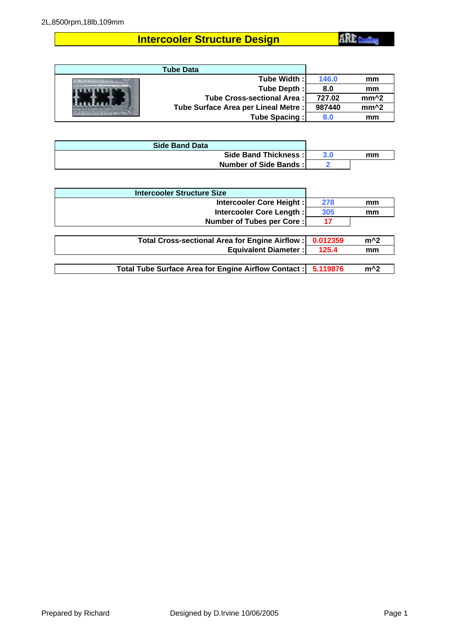# **Intercooler Structure Design**

**ARE** Cooling

| <b>Tube Data</b>                     |        |                  |
|--------------------------------------|--------|------------------|
| Tube Width :I                        | 146.0  | mm               |
| Tube Depth:                          | 8.0    | mm               |
| Tube Cross-sectional Area:           | 727.02 | mm <sup>^2</sup> |
| Tube Surface Area per Lineal Metre : | 987440 | mm <sup>^2</sup> |
| Tube Spacing:                        | 8.0    | mm               |

| <b>Side Band Data</b> |     |    |
|-----------------------|-----|----|
| Side Band Thickness:  | 3.0 | mm |
| Number of Side Bands: |     |    |

| <b>Intercooler Structure Size</b>                    |          |       |
|------------------------------------------------------|----------|-------|
| Intercooler Core Height:                             | 278      | mm    |
| Intercooler Core Length:                             | 305      | mm    |
| <b>Number of Tubes per Core:</b>                     | 17       |       |
|                                                      |          |       |
| Total Cross-sectional Area for Engine Airflow:       | 0.012359 | $m^2$ |
| <b>Equivalent Diameter:</b>                          | 125.4    | mm    |
|                                                      |          |       |
| Total Tube Surface Area for Engine Airflow Contact : | 5.119876 | $m^2$ |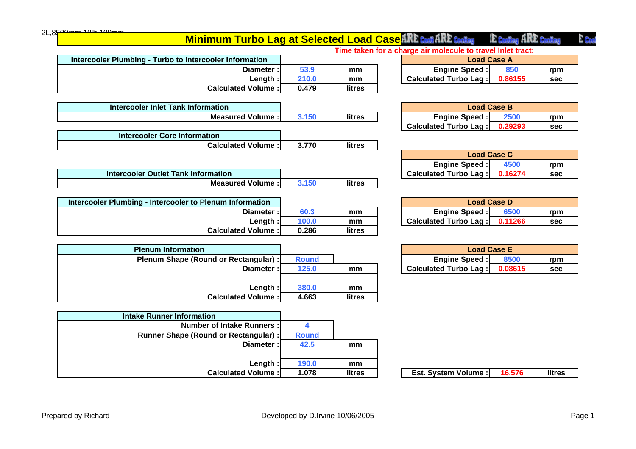| Length:<br><b>Calculated Volume:</b>  | 380.0<br>4.663 | mm<br>litres |                                      |        |
|---------------------------------------|----------------|--------------|--------------------------------------|--------|
|                                       |                |              |                                      |        |
| <b>Intake Runner Information</b>      |                |              |                                      |        |
| <b>Number of Intake Runners:</b>      | 4              |              |                                      |        |
| Runner Shape (Round or Rectangular) : | <b>Round</b>   |              |                                      |        |
| Diameter:                             | 42.5           | mm           |                                      |        |
| Length:                               | 190.0          | mm           |                                      |        |
| <b>Calculated Volume:</b>             | 1.078          | litres       | <b>Est. System Volume:</b><br>16.576 | litres |
|                                       |                |              |                                      |        |

| Length:                               | 100.0        | mm     | Calculated Turbo Lag :<br>0.11266<br><b>sec</b> |
|---------------------------------------|--------------|--------|-------------------------------------------------|
| <b>Calculated Volume:</b>             | 0.286        | litres |                                                 |
|                                       |              |        |                                                 |
| <b>Plenum Information</b>             |              |        | <b>Load Case E</b>                              |
| Plenum Shape (Round or Rectangular) : | <b>Round</b> |        | 8500<br><b>Engine Speed:</b><br>rpm             |
| Diameter:                             | 125.0        | mm     | Calculated Turbo Lag :<br>0.08615<br><b>sec</b> |
|                                       |              |        |                                                 |

| <b>Intercooler Plumbing - Intercooler to Plenum Information</b> |       |        |
|-----------------------------------------------------------------|-------|--------|
| Diameter:                                                       | 60.3  | mm     |
| Length:                                                         | 100.0 | mm     |
| <b>Calculated Volume:</b>                                       | 0.286 | litres |

|                                            |     |        | <b>Engine Speed : </b>         | юu | rpm |
|--------------------------------------------|-----|--------|--------------------------------|----|-----|
| <b>Intercooler Outlet Tank Information</b> |     |        | Turbo Lag<br><b>Calculated</b> |    | sec |
| <b>Measured Volume</b>                     | 150 | litres |                                |    |     |
|                                            |     |        |                                |    |     |

| 3.770 | litres                    |
|-------|---------------------------|
|       |                           |
|       | <b>Calculated Volume:</b> |

| $\text{-}$ ength:                  | 210.0 | mm     | Calculated Turbo Lag :<br>0.86155<br>sec |
|------------------------------------|-------|--------|------------------------------------------|
| <b>Calculated Volume:</b>          | 0.479 | litres |                                          |
|                                    |       |        |                                          |
| Intercooler Inlet Tank Information |       |        | <b>Load Case B</b>                       |
| .<br>__                            | _____ | ---    | __<br>_____<br>$\sim$                    |

| <u>MERCOORE MIRE TANK INTOITITATION</u> |        |
|-----------------------------------------|--------|
| <b>Measured Volume:</b>                 | litres |
|                                         |        |

| Intercooler Inlet Tank Information |       |        |
|------------------------------------|-------|--------|
| <b>Measured Volume:</b>            | 3.150 | litres |

**Intercooler Plumbing - Turbo to Intercooler Information**

| <b>Measured Volume :</b> I          | 3.150 | litres |
|-------------------------------------|-------|--------|
|                                     |       |        |
| <b>Intercooler Core Information</b> |       |        |
|                                     |       |        |

| <b>Measured Volume:</b> | 3.150 | litres | <b>Engine Speed:</b>   | 2500    | rpm |  |
|-------------------------|-------|--------|------------------------|---------|-----|--|
|                         |       |        | Calculated Turbo Lag : | 0.29293 | sec |  |
| on                      |       |        |                        |         |     |  |
| l · amulaW hateluale'   | 3 770 | litrae |                        |         |     |  |

**Time taken for a charge air molecule to travel Inlet tract:**

**Diameter : 53.9 mm 850 rpm Engine Speed :**

**Minimum Turbo Lag at Selected Load Case ARE Coat ARE Coating** 

| <b>Load Case C</b>                  |         |     |  |  |  |
|-------------------------------------|---------|-----|--|--|--|
| <b>Engine Speed:</b><br>4500<br>rpm |         |     |  |  |  |
| Calculated Turbo Lag :              | 0.16274 | sec |  |  |  |

Load Case A<br>**ipeed** : 850

E Cooling ARE Cooling

E Bas

| rmation    |         |       | <b>Load Case D</b>                             |
|------------|---------|-------|------------------------------------------------|
| Diameter : | 60.3    | mm    | <b>Engine Speed:</b><br>6500<br>rɒm            |
| Length:    | 100.0   | mm    | <b>Calculated Turbo Lag:</b><br>0.11266<br>sec |
| ----       | - - - - | $- -$ |                                                |

|              |              |    | <b>Load Case E</b>            |      |     |  |  |
|--------------|--------------|----|-------------------------------|------|-----|--|--|
| tangular) :  | <b>Round</b> |    | <b>Engine Speed:</b>          | 8500 | rpm |  |  |
| Diameter : I | 125.0        | mm | Calculated Turbo Lag: 0.08615 |      | sec |  |  |

| epared by Richard |  |  |
|-------------------|--|--|
|-------------------|--|--|

 $2L,85$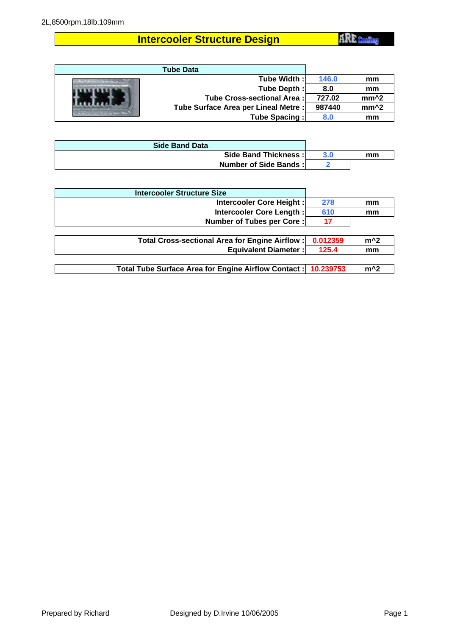# **Intercooler Structure Design**

**ARE** Cooling

| <b>Tube Data</b>                     |        |                  |
|--------------------------------------|--------|------------------|
| Tube Width :I                        | 146.0  | mm               |
| Tube Depth:                          | 8.0    | mm               |
| Tube Cross-sectional Area:           | 727.02 | mm <sup>^2</sup> |
| Tube Surface Area per Lineal Metre : | 987440 | mm <sup>^2</sup> |
| Tube Spacing:                        | 8.0    | mm               |

| <b>Side Band Data</b> |     |    |
|-----------------------|-----|----|
| Side Band Thickness:  | 3.0 | mm |
| Number of Side Bands: |     |    |

| <b>Intercooler Structure Size</b>                    |           |       |
|------------------------------------------------------|-----------|-------|
| Intercooler Core Height:                             | 278       | mm    |
| Intercooler Core Length:                             | 610       | mm    |
| <b>Number of Tubes per Core:</b>                     | 17        |       |
|                                                      |           |       |
| Total Cross-sectional Area for Engine Airflow:       | 0.012359  | $m^2$ |
| <b>Equivalent Diameter:</b>                          | 125.4     | mm    |
|                                                      |           |       |
| Total Tube Surface Area for Engine Airflow Contact : | 10.239753 | $m^2$ |